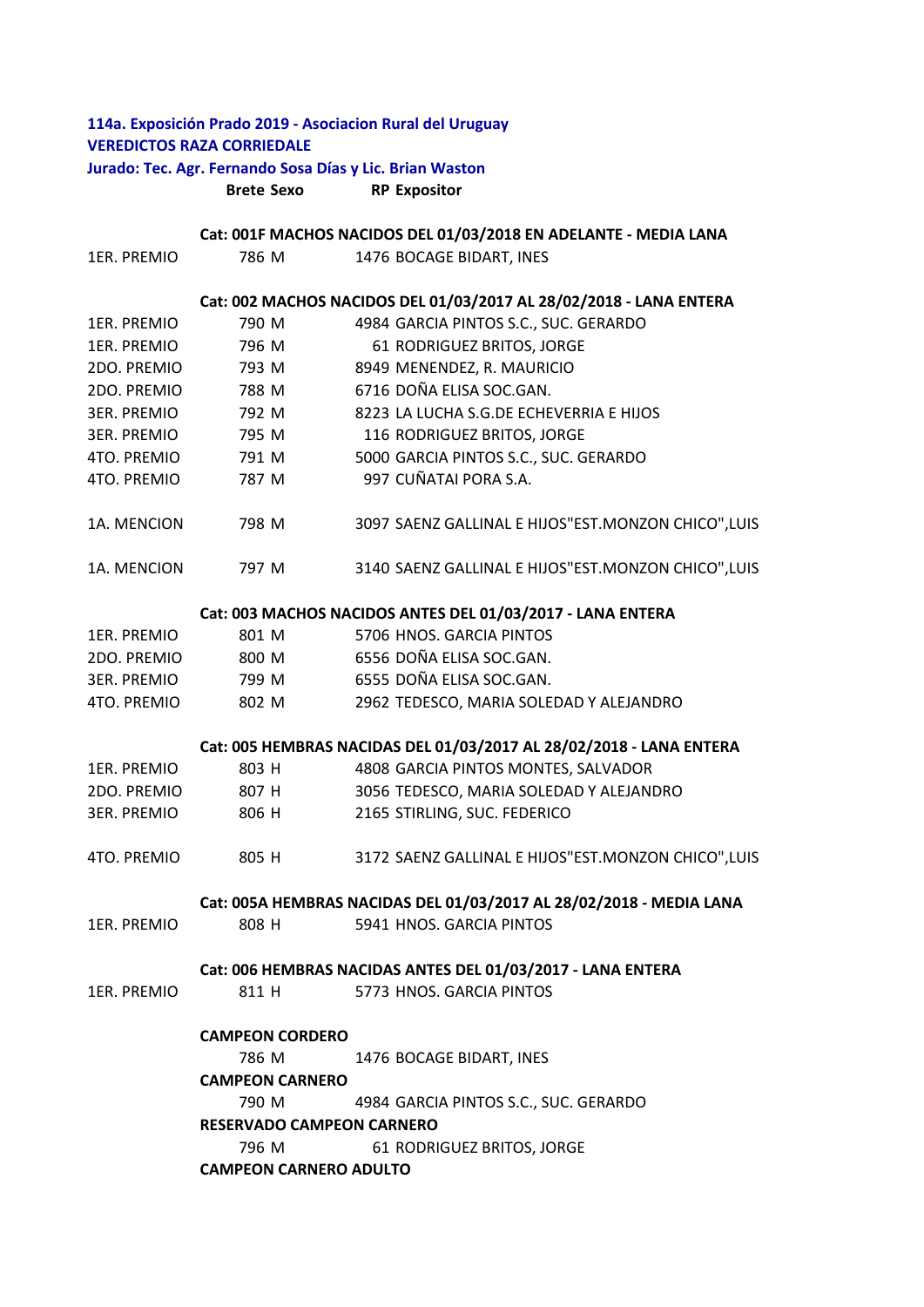| 114a. Exposición Prado 2019 - Asociacion Rural del Uruguay<br><b>VEREDICTOS RAZA CORRIEDALE</b><br>Jurado: Tec. Agr. Fernando Sosa Días y Lic. Brian Waston |                                  |                                                                     |
|-------------------------------------------------------------------------------------------------------------------------------------------------------------|----------------------------------|---------------------------------------------------------------------|
|                                                                                                                                                             |                                  |                                                                     |
|                                                                                                                                                             |                                  | Cat: 001F MACHOS NACIDOS DEL 01/03/2018 EN ADELANTE - MEDIA LANA    |
| 1ER. PREMIO                                                                                                                                                 | 786 M                            | 1476 BOCAGE BIDART, INES                                            |
|                                                                                                                                                             |                                  | Cat: 002 MACHOS NACIDOS DEL 01/03/2017 AL 28/02/2018 - LANA ENTERA  |
| 1ER. PREMIO                                                                                                                                                 | 790 M                            | 4984 GARCIA PINTOS S.C., SUC. GERARDO                               |
| 1ER. PREMIO                                                                                                                                                 | 796 M                            | 61 RODRIGUEZ BRITOS, JORGE                                          |
| 2DO. PREMIO                                                                                                                                                 | 793 M                            | 8949 MENENDEZ, R. MAURICIO                                          |
| 2DO. PREMIO                                                                                                                                                 | 788 M                            | 6716 DOÑA ELISA SOC.GAN.                                            |
| 3ER. PREMIO                                                                                                                                                 | 792 M                            | 8223 LA LUCHA S.G.DE ECHEVERRIA E HIJOS                             |
| <b>3ER. PREMIO</b>                                                                                                                                          | 795 M                            | 116 RODRIGUEZ BRITOS, JORGE                                         |
| 4TO. PREMIO                                                                                                                                                 | 791 M                            | 5000 GARCIA PINTOS S.C., SUC. GERARDO                               |
| 4TO. PREMIO                                                                                                                                                 | 787 M                            | 997 CUÑATAI PORA S.A.                                               |
| 1A. MENCION                                                                                                                                                 | 798 M                            | 3097 SAENZ GALLINAL E HIJOS"EST.MONZON CHICO", LUIS                 |
| 1A. MENCION                                                                                                                                                 | 797 M                            | 3140 SAENZ GALLINAL E HIJOS"EST.MONZON CHICO", LUIS                 |
|                                                                                                                                                             |                                  | Cat: 003 MACHOS NACIDOS ANTES DEL 01/03/2017 - LANA ENTERA          |
| 1ER. PREMIO                                                                                                                                                 | 801 M                            | 5706 HNOS. GARCIA PINTOS                                            |
| 2DO. PREMIO                                                                                                                                                 | 800 M                            | 6556 DOÑA ELISA SOC.GAN.                                            |
| 3ER. PREMIO                                                                                                                                                 | 799 M                            | 6555 DOÑA ELISA SOC.GAN.                                            |
| 4TO. PREMIO                                                                                                                                                 | 802 M                            | 2962 TEDESCO, MARIA SOLEDAD Y ALEJANDRO                             |
|                                                                                                                                                             |                                  | Cat: 005 HEMBRAS NACIDAS DEL 01/03/2017 AL 28/02/2018 - LANA ENTERA |
| 1ER. PREMIO                                                                                                                                                 | 803 H                            | 4808 GARCIA PINTOS MONTES, SALVADOR                                 |
| 2DO. PREMIO                                                                                                                                                 | 807 H                            | 3056 TEDESCO, MARIA SOLEDAD Y ALEJANDRO                             |
| 3ER. PREMIO                                                                                                                                                 | 806 H                            | 2165 STIRLING, SUC. FEDERICO                                        |
| 4TO. PREMIO                                                                                                                                                 |                                  | 805 H 3172 SAENZ GALLINAL E HIJOS"EST.MONZON CHICO",LUIS            |
|                                                                                                                                                             |                                  | Cat: 005A HEMBRAS NACIDAS DEL 01/03/2017 AL 28/02/2018 - MEDIA LANA |
| 1ER. PREMIO                                                                                                                                                 | 808 H                            | 5941 HNOS. GARCIA PINTOS                                            |
|                                                                                                                                                             |                                  | Cat: 006 HEMBRAS NACIDAS ANTES DEL 01/03/2017 - LANA ENTERA         |
| 1ER. PREMIO                                                                                                                                                 | 811 H                            | 5773 HNOS. GARCIA PINTOS                                            |
|                                                                                                                                                             | <b>CAMPEON CORDERO</b>           |                                                                     |
|                                                                                                                                                             | 786 M                            | 1476 BOCAGE BIDART, INES                                            |
|                                                                                                                                                             | <b>CAMPEON CARNERO</b>           |                                                                     |
|                                                                                                                                                             | 790 M                            | 4984 GARCIA PINTOS S.C., SUC. GERARDO                               |
|                                                                                                                                                             | <b>RESERVADO CAMPEON CARNERO</b> |                                                                     |
|                                                                                                                                                             | 796 M                            | 61 RODRIGUEZ BRITOS, JORGE                                          |
|                                                                                                                                                             | <b>CAMPEON CARNERO ADULTO</b>    |                                                                     |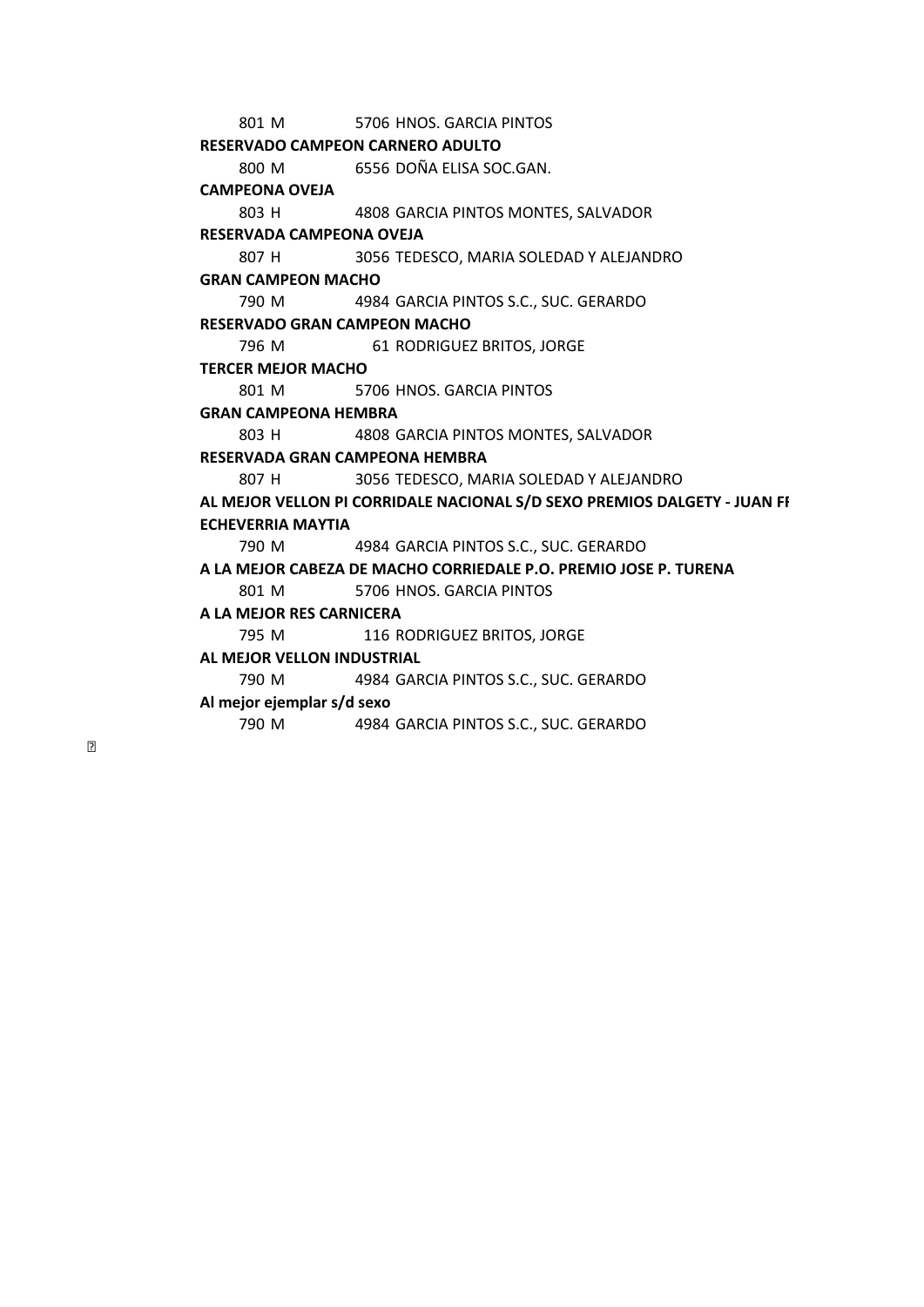801 M 5706 HNOS. GARCIA PINTOS 800 M 6556 DOÑA ELISA SOC.GAN. 803 H 4808 GARCIA PINTOS MONTES, SALVADOR 807 H 3056 TEDESCO, MARIA SOLEDAD Y ALEJANDRO 790 M 4984 GARCIA PINTOS S.C., SUC. GERARDO 796 M 61 RODRIGUEZ BRITOS, JORGE 801 M 5706 HNOS. GARCIA PINTOS 803 H 4808 GARCIA PINTOS MONTES, SALVADOR 807 H 3056 TEDESCO, MARIA SOLEDAD Y ALEJANDRO 790 M 4984 GARCIA PINTOS S.C., SUC. GERARDO 801 M 5706 HNOS. GARCIA PINTOS 795 M 116 RODRIGUEZ BRITOS, JORGE 790 M 4984 GARCIA PINTOS S.C., SUC. GERARDO **AL MEJOR VELLON INDUSTRIAL TERCER MEJOR MACHO GRAN CAMPEONA HEMBRA RESERVADA GRAN CAMPEONA HEMBRA AL MEJOR VELLON PI CORRIDALE NACIONAL S/D SEXO PREMIOS DALGETY ‐ JUAN FR ECHEVERRIA MAYTIA A LA MEJOR CABEZA DE MACHO CORRIEDALE P.O. PREMIO JOSE P. TURENA A LA MEJOR RES CARNICERA RESERVADO CAMPEON CARNERO ADULTO CAMPEONA OVEJA RESERVADA CAMPEONA OVEJA GRAN CAMPEON MACHO RESERVADO GRAN CAMPEON MACHO** 

**Al mejor ejemplar s/d sexo** 

790 M 4984 GARCIA PINTOS S.C., SUC. GERARDO